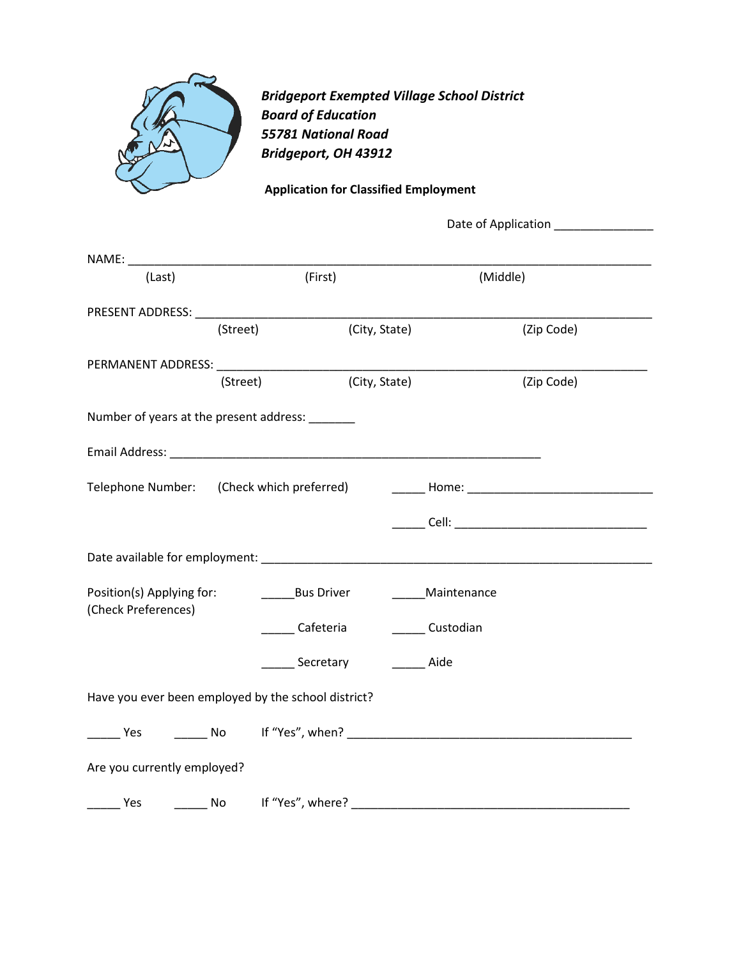

*Bridgeport Exempted Village School District Board of Education 55781 National Road Bridgeport, OH 43912*

**Application for Classified Employment**

| (Last)                                           | (First)                                             |                   | (Middle)                                                                                                       |
|--------------------------------------------------|-----------------------------------------------------|-------------------|----------------------------------------------------------------------------------------------------------------|
|                                                  |                                                     |                   |                                                                                                                |
|                                                  | (Street)                                            | (City, State)     | (Zip Code)                                                                                                     |
|                                                  |                                                     |                   |                                                                                                                |
|                                                  |                                                     |                   |                                                                                                                |
|                                                  | (Street)                                            | (City, State)     | (Zip Code)                                                                                                     |
|                                                  | Number of years at the present address: ______      |                   |                                                                                                                |
|                                                  |                                                     |                   |                                                                                                                |
|                                                  |                                                     |                   | Telephone Number: (Check which preferred) [19] [2010] Home: [2012] [2012] [2012] [2012] [2012] [2012] [2012] [ |
|                                                  |                                                     |                   |                                                                                                                |
|                                                  |                                                     |                   |                                                                                                                |
| Position(s) Applying for:<br>(Check Preferences) | <b>Example 13 Bus Driver</b>                        | ______Maintenance |                                                                                                                |
|                                                  | Cafeteria                                           | Custodian         |                                                                                                                |
|                                                  | Secretary                                           | Aide              |                                                                                                                |
|                                                  | Have you ever been employed by the school district? |                   |                                                                                                                |
|                                                  |                                                     |                   |                                                                                                                |
| Are you currently employed?                      |                                                     |                   |                                                                                                                |
|                                                  |                                                     |                   |                                                                                                                |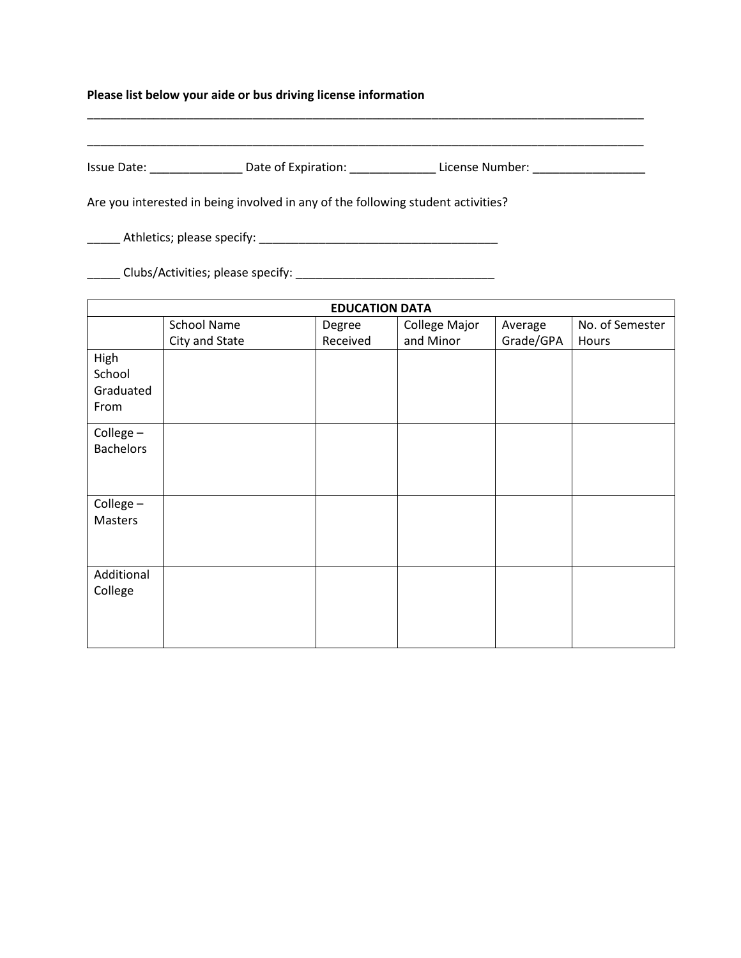## **Please list below your aide or bus driving license information**

| Issue Date: | Date of Expiration: | License Number: |
|-------------|---------------------|-----------------|

\_\_\_\_\_\_\_\_\_\_\_\_\_\_\_\_\_\_\_\_\_\_\_\_\_\_\_\_\_\_\_\_\_\_\_\_\_\_\_\_\_\_\_\_\_\_\_\_\_\_\_\_\_\_\_\_\_\_\_\_\_\_\_\_\_\_\_\_\_\_\_\_\_\_\_\_\_\_\_\_\_\_\_\_

Are you interested in being involved in any of the following student activities?

\_\_\_\_\_ Athletics; please specify: \_\_\_\_\_\_\_\_\_\_\_\_\_\_\_\_\_\_\_\_\_\_\_\_\_\_\_\_\_\_\_\_\_\_\_\_

\_\_\_\_\_ Clubs/Activities; please specify: \_\_\_\_\_\_\_\_\_\_\_\_\_\_\_\_\_\_\_\_\_\_\_\_\_\_\_\_\_\_

| <b>EDUCATION DATA</b> |                    |          |               |           |                 |
|-----------------------|--------------------|----------|---------------|-----------|-----------------|
|                       | <b>School Name</b> | Degree   | College Major | Average   | No. of Semester |
|                       | City and State     | Received | and Minor     | Grade/GPA | Hours           |
| High                  |                    |          |               |           |                 |
| School                |                    |          |               |           |                 |
| Graduated             |                    |          |               |           |                 |
| From                  |                    |          |               |           |                 |
| College-              |                    |          |               |           |                 |
| <b>Bachelors</b>      |                    |          |               |           |                 |
|                       |                    |          |               |           |                 |
|                       |                    |          |               |           |                 |
| College-              |                    |          |               |           |                 |
| Masters               |                    |          |               |           |                 |
|                       |                    |          |               |           |                 |
|                       |                    |          |               |           |                 |
| Additional            |                    |          |               |           |                 |
| College               |                    |          |               |           |                 |
|                       |                    |          |               |           |                 |
|                       |                    |          |               |           |                 |
|                       |                    |          |               |           |                 |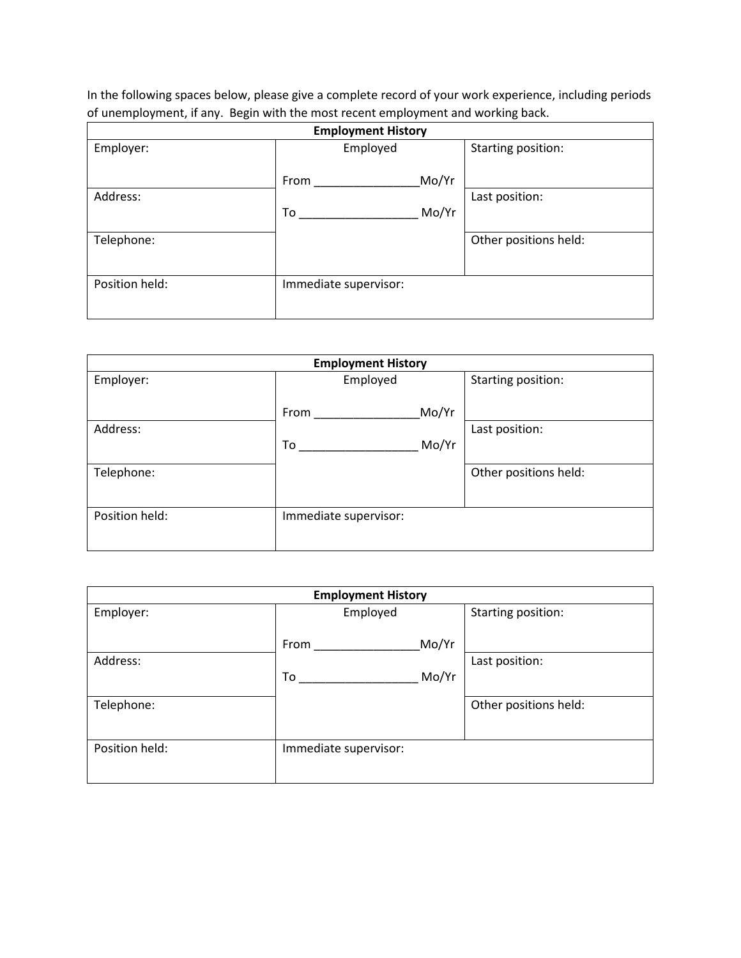In the following spaces below, please give a complete record of your work experience, including periods of unemployment, if any. Begin with the most recent employment and working back.

| <b>Employment History</b> |                       |                       |  |
|---------------------------|-----------------------|-----------------------|--|
| Employer:                 | Employed              | Starting position:    |  |
|                           | Mo/Yr<br>From         |                       |  |
| Address:                  |                       | Last position:        |  |
|                           | Mo/Yr<br>To           |                       |  |
| Telephone:                |                       | Other positions held: |  |
| Position held:            | Immediate supervisor: |                       |  |

| <b>Employment History</b> |                       |                       |  |
|---------------------------|-----------------------|-----------------------|--|
| Employer:                 | Employed              | Starting position:    |  |
|                           | Mo/Yr<br>From         |                       |  |
| Address:                  |                       | Last position:        |  |
|                           | Mo/Yr<br>To           |                       |  |
| Telephone:                |                       | Other positions held: |  |
| Position held:            | Immediate supervisor: |                       |  |

| <b>Employment History</b> |                       |                       |  |
|---------------------------|-----------------------|-----------------------|--|
| Employer:                 | Employed              | Starting position:    |  |
|                           | Mo/Yr<br>From         |                       |  |
| Address:                  |                       | Last position:        |  |
|                           | Mo/Yr<br>To           |                       |  |
| Telephone:                |                       | Other positions held: |  |
|                           |                       |                       |  |
| Position held:            | Immediate supervisor: |                       |  |
|                           |                       |                       |  |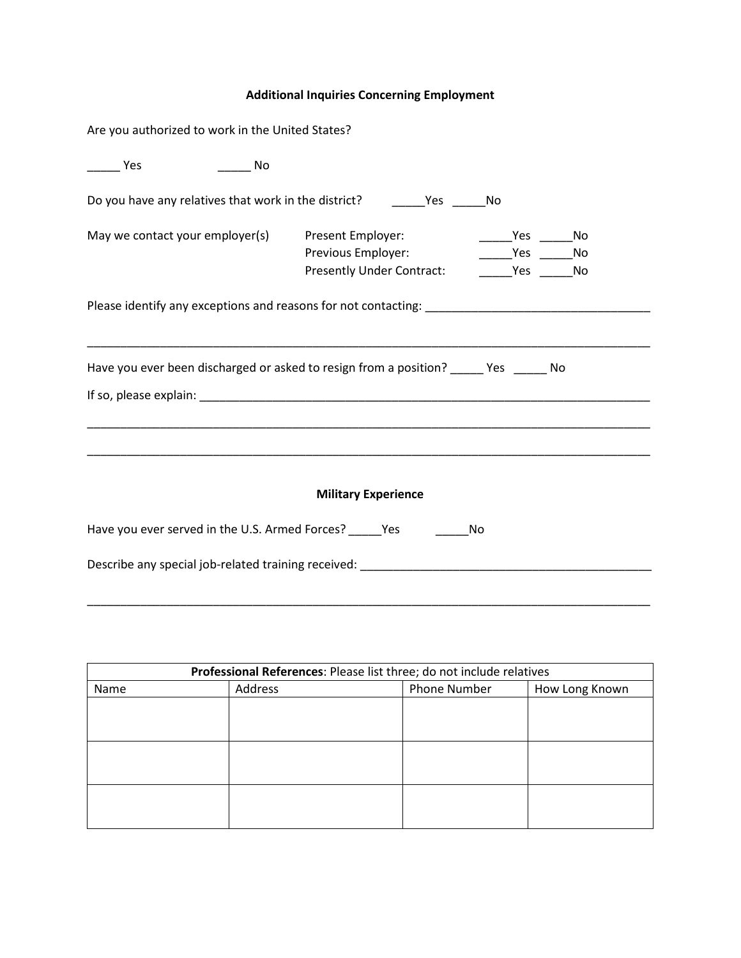## **Additional Inquiries Concerning Employment**

| Are you authorized to work in the United States?                                  |                                                                                                                                                                                                               |  |
|-----------------------------------------------------------------------------------|---------------------------------------------------------------------------------------------------------------------------------------------------------------------------------------------------------------|--|
| Yes<br>a a no No                                                                  |                                                                                                                                                                                                               |  |
| Do you have any relatives that work in the district? ____________________________ | No                                                                                                                                                                                                            |  |
| May we contact your employer(s) Present Employer:                                 | No Yes No<br>Previous Employer:<br>Yes No<br>Presently Under Contract: _________ Yes _______ No                                                                                                               |  |
|                                                                                   | Please identify any exceptions and reasons for not contacting: _________________________                                                                                                                      |  |
|                                                                                   | Have you ever been discharged or asked to resign from a position? _____ Yes _____ No<br><u> 1989 - Johann Harry Harry Harry Harry Harry Harry Harry Harry Harry Harry Harry Harry Harry Harry Harry Harry</u> |  |
|                                                                                   | <b>Military Experience</b>                                                                                                                                                                                    |  |
| Have you ever served in the U.S. Armed Forces? ______ Yes ______                  | No                                                                                                                                                                                                            |  |
|                                                                                   | Describe any special job-related training received: ____________________________                                                                                                                              |  |

| Professional References: Please list three; do not include relatives |         |              |                |
|----------------------------------------------------------------------|---------|--------------|----------------|
| Name                                                                 | Address | Phone Number | How Long Known |
|                                                                      |         |              |                |
|                                                                      |         |              |                |
|                                                                      |         |              |                |
|                                                                      |         |              |                |
|                                                                      |         |              |                |
|                                                                      |         |              |                |
|                                                                      |         |              |                |
|                                                                      |         |              |                |
|                                                                      |         |              |                |

\_\_\_\_\_\_\_\_\_\_\_\_\_\_\_\_\_\_\_\_\_\_\_\_\_\_\_\_\_\_\_\_\_\_\_\_\_\_\_\_\_\_\_\_\_\_\_\_\_\_\_\_\_\_\_\_\_\_\_\_\_\_\_\_\_\_\_\_\_\_\_\_\_\_\_\_\_\_\_\_\_\_\_\_\_